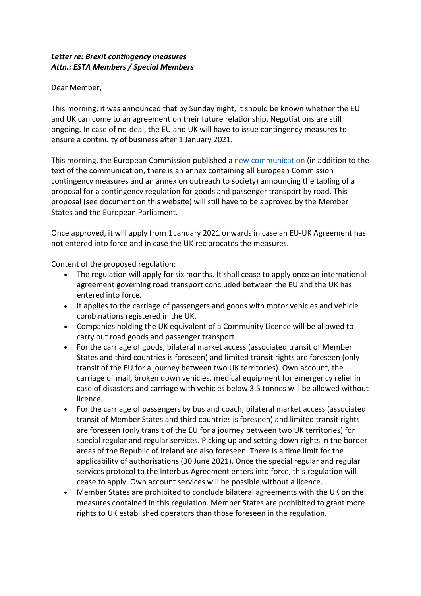## *Letter re: Brexit contingency measures Attn.: ESTA Members / Special Members*

Dear Member,

This morning, it was announced that by Sunday night, it should be known whether the EU and UK can come to an agreement on their future relationship. Negotiations are still ongoing. In case of no-deal, the EU and UK will have to issue contingency measures to ensure a continuity of business after 1 January 2021.

This morning, the European Commission published a new communication (in addition to the text of the communication, there is an annex containing all European Commission contingency measures and an annex on outreach to society) announcing the tabling of a proposal for a contingency regulation for goods and passenger transport by road. This proposal (see document on this website) will still have to be approved by the Member States and the European Parliament.

Once approved, it will apply from 1 January 2021 onwards in case an EU-UK Agreement has not entered into force and in case the UK reciprocates the measures.

Content of the proposed regulation:

- The regulation will apply for six months. It shall cease to apply once an international agreement governing road transport concluded between the EU and the UK has entered into force.
- It applies to the carriage of passengers and goods with motor vehicles and vehicle combinations registered in the UK.
- Companies holding the UK equivalent of a Community Licence will be allowed to carry out road goods and passenger transport.
- For the carriage of goods, bilateral market access (associated transit of Member States and third countries is foreseen) and limited transit rights are foreseen (only transit of the EU for a journey between two UK territories). Own account, the carriage of mail, broken down vehicles, medical equipment for emergency relief in case of disasters and carriage with vehicles below 3.5 tonnes will be allowed without licence.
- For the carriage of passengers by bus and coach, bilateral market access (associated transit of Member States and third countries is foreseen) and limited transit rights are foreseen (only transit of the EU for a journey between two UK territories) for special regular and regular services. Picking up and setting down rights in the border areas of the Republic of Ireland are also foreseen. There is a time limit for the applicability of authorisations (30 June 2021). Once the special regular and regular services protocol to the Interbus Agreement enters into force, this regulation will cease to apply. Own account services will be possible without a licence.
- Member States are prohibited to conclude bilateral agreements with the UK on the measures contained in this regulation. Member States are prohibited to grant more rights to UK established operators than those foreseen in the regulation.